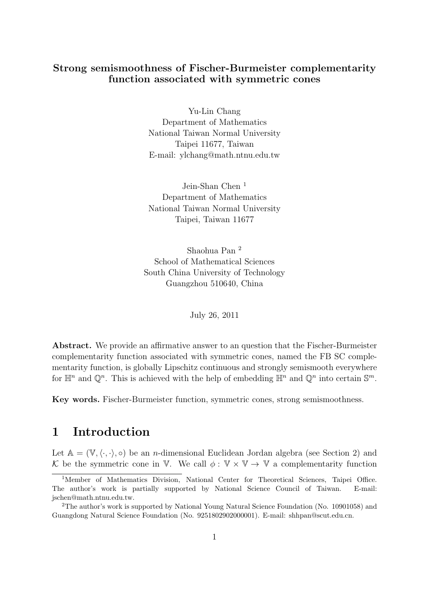#### **Strong semismoothness of Fischer-Burmeister complementarity function associated with symmetric cones**

Yu-Lin Chang Department of Mathematics National Taiwan Normal University Taipei 11677, Taiwan E-mail: ylchang@math.ntnu.edu.tw

Jein-Shan Chen <sup>1</sup> Department of Mathematics National Taiwan Normal University Taipei, Taiwan 11677

Shaohua Pan <sup>2</sup> School of Mathematical Sciences South China University of Technology Guangzhou 510640, China

July 26, 2011

**Abstract.** We provide an affirmative answer to an question that the Fischer-Burmeister complementarity function associated with symmetric cones, named the FB SC complementarity function, is globally Lipschitz continuous and strongly semismooth everywhere for  $\mathbb{H}^n$  and  $\mathbb{Q}^n$ . This is achieved with the help of embedding  $\mathbb{H}^n$  and  $\mathbb{Q}^n$  into certain  $\mathbb{S}^m$ .

**Key words.** Fischer-Burmeister function, symmetric cones, strong semismoothness.

### **1 Introduction**

Let  $A = (\mathbb{V}, \langle \cdot, \cdot \rangle, \circ)$  be an *n*-dimensional Euclidean Jordan algebra (see Section 2) and *K* be the symmetric cone in V. We call  $\phi : V \times V \to V$  a complementarity function

<sup>&</sup>lt;sup>1</sup>Member of Mathematics Division, National Center for Theoretical Sciences, Taipei Office. The author's work is partially supported by National Science Council of Taiwan. E-mail: jschen@math.ntnu.edu.tw.

<sup>2</sup>The author's work is supported by National Young Natural Science Foundation (No. 10901058) and Guangdong Natural Science Foundation (No. 9251802902000001). E-mail: shhpan@scut.edu.cn.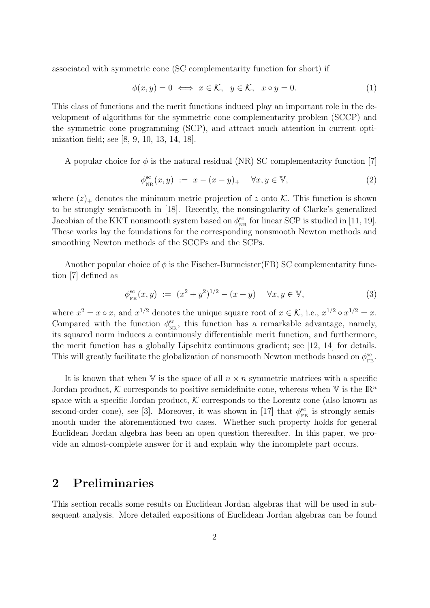associated with symmetric cone (SC complementarity function for short) if

$$
\phi(x, y) = 0 \iff x \in \mathcal{K}, \quad y \in \mathcal{K}, \quad x \circ y = 0. \tag{1}
$$

This class of functions and the merit functions induced play an important role in the development of algorithms for the symmetric cone complementarity problem (SCCP) and the symmetric cone programming (SCP), and attract much attention in current optimization field; see [8, 9, 10, 13, 14, 18].

A popular choice for  $\phi$  is the natural residual (NR) SC complementarity function [7]

$$
\phi_{\rm NR}^{\rm sc}(x,y) := x - (x - y)_+ \quad \forall x, y \in \mathbb{V},\tag{2}
$$

where  $(z)$  denotes the minimum metric projection of *z* onto *K*. This function is shown to be strongly semismooth in [18]. Recently, the nonsingularity of Clarke's generalized Jacobian of the KKT nonsmooth system based on  $\phi_{\text{N}}^{\text{sc}}$  $_{\text{NR}}^{\text{sc}}$  for linear SCP is studied in [11, 19]. These works lay the foundations for the corresponding nonsmooth Newton methods and smoothing Newton methods of the SCCPs and the SCPs.

Another popular choice of  $\phi$  is the Fischer-Burmeister(FB) SC complementarity function [7] defined as

$$
\phi_{FB}^{sc}(x, y) := (x^2 + y^2)^{1/2} - (x + y) \quad \forall x, y \in \mathbb{V},
$$
\n(3)

where  $x^2 = x \circ x$ , and  $x^{1/2}$  denotes the unique square root of  $x \in \mathcal{K}$ , i.e.,  $x^{1/2} \circ x^{1/2} = x$ . Compared with the function  $\phi_{\text{N}}^{\text{sc}}$  $_{\text{NR}}^{\text{sc}}$ , this function has a remarkable advantage, namely, its squared norm induces a continuously differentiable merit function, and furthermore, the merit function has a globally Lipschitz continuous gradient; see [12, 14] for details. This will greatly facilitate the globalization of nonsmooth Newton methods based on  $\phi_{\text{av}}^{\text{sc}}$  $_{\rm FB}^{\rm sc}$  .

It is known that when V is the space of all  $n \times n$  symmetric matrices with a specific Jordan product, K corresponds to positive semidefinite cone, whereas when  $\mathbb{V}$  is the  $\mathbb{R}^n$ space with a specific Jordan product,  $K$  corresponds to the Lorentz cone (also known as second-order cone), see [3]. Moreover, it was shown in [17] that  $\phi_{\text{av}}^{\text{sc}}$  $_{\text{FB}}^{\text{sc}}$  is strongly semismooth under the aforementioned two cases. Whether such property holds for general Euclidean Jordan algebra has been an open question thereafter. In this paper, we provide an almost-complete answer for it and explain why the incomplete part occurs.

## **2 Preliminaries**

This section recalls some results on Euclidean Jordan algebras that will be used in subsequent analysis. More detailed expositions of Euclidean Jordan algebras can be found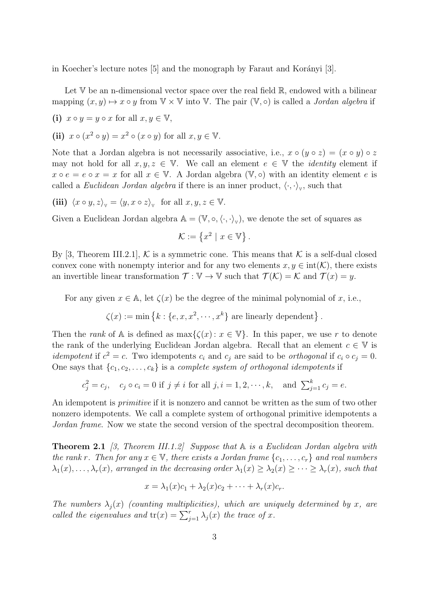in Koecher's lecture notes [5] and the monograph by Faraut and Korányi [3].

Let  $V$  be an n-dimensional vector space over the real field  $\mathbb{R}$ , endowed with a bilinear mapping  $(x, y) \mapsto x \circ y$  from  $\mathbb{V} \times \mathbb{V}$  into  $\mathbb{V}$ . The pair  $(\mathbb{V}, \circ)$  is called a *Jordan algebra* if

(i) 
$$
x \circ y = y \circ x
$$
 for all  $x, y \in V$ ,

**(ii)**  $x \circ (x^2 \circ y) = x^2 \circ (x \circ y)$  for all  $x, y \in \mathbb{V}$ .

Note that a Jordan algebra is not necessarily associative, i.e.,  $x \circ (y \circ z) = (x \circ y) \circ z$ may not hold for all  $x, y, z \in V$ . We call an element  $e \in V$  the *identity* element if  $x \circ e = e \circ x = x$  for all  $x \in V$ . A Jordan algebra  $(V, \circ)$  with an identity element *e* is called a *Euclidean Jordan algebra* if there is an inner product,  $\langle \cdot, \cdot \rangle_{\mathbb{V}}$ , such that

(iii)  $\langle x \circ y, z \rangle_{\mathbb{V}} = \langle y, x \circ z \rangle_{\mathbb{V}}$  for all  $x, y, z \in \mathbb{V}$ .

Given a Euclidean Jordan algebra  $\mathbb{A} = (\mathbb{V}, \circ, \langle \cdot, \cdot \rangle_{\mathbb{V}})$ , we denote the set of squares as

$$
\mathcal{K} := \{x^2 \mid x \in \mathbb{V}\}.
$$

By [3, Theorem III.2.1],  $K$  is a symmetric cone. This means that  $K$  is a self-dual closed convex cone with nonempty interior and for any two elements  $x, y \in \text{int}(\mathcal{K})$ , there exists an invertible linear transformation  $\mathcal{T}: \mathbb{V} \to \mathbb{V}$  such that  $\mathcal{T}(\mathcal{K}) = \mathcal{K}$  and  $\mathcal{T}(x) = y$ .

For any given  $x \in \mathbb{A}$ , let  $\zeta(x)$  be the degree of the minimal polynomial of *x*, i.e.,

$$
\zeta(x) := \min \left\{ k : \{e, x, x^2, \cdots, x^k\} \text{ are linearly dependent} \right\}.
$$

Then the *rank* of A is defined as  $\max\{\zeta(x): x \in \mathbb{V}\}\$ . In this paper, we use r to denote the rank of the underlying Euclidean Jordan algebra. Recall that an element  $c \in V$  is *idempotent* if  $c^2 = c$ . Two idempotents  $c_i$  and  $c_j$  are said to be *orthogonal* if  $c_i \circ c_j = 0$ . One says that  $\{c_1, c_2, \ldots, c_k\}$  is a *complete system of orthogonal idempotents* if

$$
c_j^2 = c_j
$$
,  $c_j \circ c_i = 0$  if  $j \neq i$  for all  $j, i = 1, 2, \dots, k$ , and  $\sum_{j=1}^k c_j = e$ .

An idempotent is *primitive* if it is nonzero and cannot be written as the sum of two other nonzero idempotents. We call a complete system of orthogonal primitive idempotents a *Jordan frame*. Now we state the second version of the spectral decomposition theorem.

**Theorem 2.1** *[3, Theorem III.1.2] Suppose that* A *is a Euclidean Jordan algebra with the rank r.* Then for any  $x \in V$ *, there exists a Jordan frame*  $\{c_1, \ldots, c_r\}$  *and real numbers*  $\lambda_1(x), \ldots, \lambda_r(x)$ , arranged in the decreasing order  $\lambda_1(x) \geq \lambda_2(x) \geq \cdots \geq \lambda_r(x)$ , such that

$$
x = \lambda_1(x)c_1 + \lambda_2(x)c_2 + \cdots + \lambda_r(x)c_r.
$$

*The numbers*  $\lambda_i(x)$  (counting multiplicities), which are uniquely determined by x, are *called the eigenvalues and*  $tr(x) = \sum_{j=1}^{r} \lambda_j(x)$  *the trace of x.*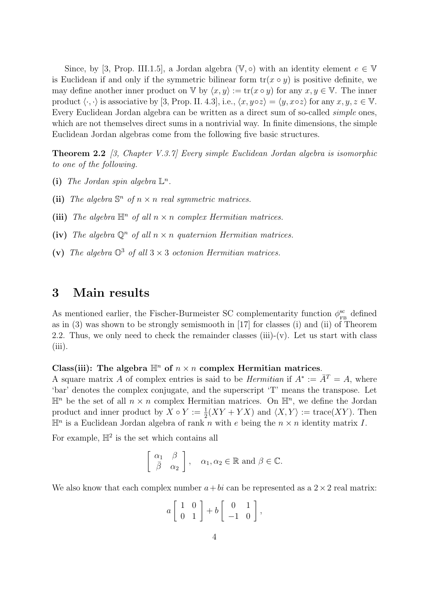Since, by [3, Prop. III.1.5], a Jordan algebra  $(\mathbb{V}, \circ)$  with an identity element  $e \in \mathbb{V}$ is Euclidean if and only if the symmetric bilinear form  $tr(x \circ y)$  is positive definite, we may define another inner product on V by  $\langle x, y \rangle := \text{tr}(x \circ y)$  for any  $x, y \in V$ . The inner product  $\langle \cdot, \cdot \rangle$  is associative by [3, Prop. II. 4.3], i.e.,  $\langle x, y \circ z \rangle = \langle y, x \circ z \rangle$  for any  $x, y, z \in \mathbb{V}$ . Every Euclidean Jordan algebra can be written as a direct sum of so-called *simple* ones, which are not themselves direct sums in a nontrivial way. In finite dimensions, the simple Euclidean Jordan algebras come from the following five basic structures.

**Theorem 2.2** *[3, Chapter V.3.7] Every simple Euclidean Jordan algebra is isomorphic to one of the following.*

- (i) The Jordan spin algebra  $\mathbb{L}^n$ .
- (ii) The algebra  $\mathbb{S}^n$  of  $n \times n$  real symmetric matrices.
- (iii) The algebra  $\mathbb{H}^n$  of all  $n \times n$  complex Hermitian matrices.
- **(iv)** The algebra  $\mathbb{Q}^n$  of all  $n \times n$  quaternion Hermitian matrices.
- (v) The algebra  $\mathbb{O}^3$  of all  $3 \times 3$  octonion Hermitian matrices.

### **3 Main results**

As mentioned earlier, the Fischer-Burmeister SC complementarity function  $\phi_{\text{av}}^{\text{sc}}$  $_{\text{FB}}^{\text{sc}}$  defined as in  $(3)$  was shown to be strongly semismooth in  $[17]$  for classes (i) and (ii) of Theorem 2.2. Thus, we only need to check the remainder classes (iii)- $(v)$ . Let us start with class (iii).

#### **Class(iii):** The algebra  $\mathbb{H}^n$  of  $n \times n$  complex Hermitian matrices.

A square matrix *A* of complex entries is said to be *Hermitian* if  $A^* := \overline{A}^T = A$ , where 'bar' denotes the complex conjugate, and the superscript 'T' means the transpose. Let  $\mathbb{H}^n$  be the set of all  $n \times n$  complex Hermitian matrices. On  $\mathbb{H}^n$ , we define the Jordan product and inner product by  $X \circ Y := \frac{1}{2}(XY + YX)$  and  $\langle X, Y \rangle := \text{trace}(XY)$ . Then  $\mathbb{H}^n$  is a Euclidean Jordan algebra of rank *n* with *e* being the  $n \times n$  identity matrix *I*.

For example,  $\mathbb{H}^2$  is the set which contains all

$$
\left[\begin{array}{cc} \alpha_1 & \beta \\ \overline{\beta} & \alpha_2 \end{array}\right], \quad \alpha_1, \alpha_2 \in \mathbb{R} \text{ and } \beta \in \mathbb{C}.
$$

We also know that each complex number  $a + bi$  can be represented as a  $2 \times 2$  real matrix:

$$
a\left[\begin{array}{cc} 1 & 0 \\ 0 & 1 \end{array}\right] + b\left[\begin{array}{cc} 0 & 1 \\ -1 & 0 \end{array}\right],
$$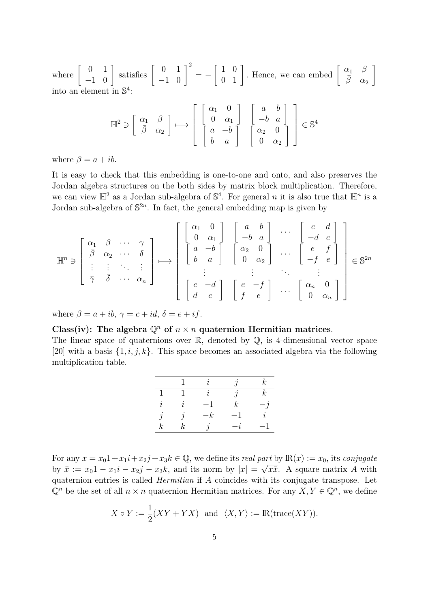where  $\begin{bmatrix} 0 & 1 \\ -1 & 0 \end{bmatrix}$  satisfies  $\begin{bmatrix} 0 & 1 \\ -1 & 0 \end{bmatrix}^2 = \begin{bmatrix} 1 & 0 \\ 0 & 1 \end{bmatrix}$ . Hence, we can embed  $\begin{bmatrix} \alpha_1 & \beta \\ \overline{\beta} & \alpha_2 \end{bmatrix}$  $\bar{\beta}$   $\alpha_2$ ] into an element in  $\mathbb{S}^4$ :

$$
\mathbb{H}^2 \ni \left[ \begin{array}{cc} \alpha_1 & \beta \\ \bar{\beta} & \alpha_2 \end{array} \right] \longmapsto \left[ \begin{array}{cc} \left[ \begin{array}{cc} \alpha_1 & 0 \\ 0 & \alpha_1 \end{array} \right] & \left[ \begin{array}{cc} a & b \\ -b & a \end{array} \right] \\ \left[ \begin{array}{cc} a & -b \\ b & a \end{array} \right] & \left[ \begin{array}{cc} a & b \\ \alpha_2 & 0 \\ 0 & \alpha_2 \end{array} \right] \end{array} \right] \in \mathbb{S}^4
$$

where  $\beta = a + ib$ .

It is easy to check that this embedding is one-to-one and onto, and also preserves the Jordan algebra structures on the both sides by matrix block multiplication. Therefore, we can view  $\mathbb{H}^2$  as a Jordan sub-algebra of  $\mathbb{S}^4$ . For general *n* it is also true that  $\mathbb{H}^n$  is a Jordan sub-algebra of  $\mathbb{S}^{2n}$ . In fact, the general embedding map is given by

$$
\mathbb{H}^{n} \ni \begin{bmatrix} \alpha_{1} & \beta & \cdots & \gamma \\ \bar{\beta} & \alpha_{2} & \cdots & \delta \\ \vdots & \vdots & \ddots & \vdots \\ \bar{\gamma} & \bar{\delta} & \cdots & \alpha_{n} \end{bmatrix} \longmapsto \begin{bmatrix} \begin{bmatrix} \alpha_{1} & 0 \\ 0 & \alpha_{1} \end{bmatrix} & \begin{bmatrix} a & b \\ -b & a \end{bmatrix} & \cdots & \begin{bmatrix} c & d \\ -d & c \end{bmatrix} \\ \begin{bmatrix} a & -b \\ b & a \end{bmatrix} & \begin{bmatrix} \alpha_{2} & 0 \\ 0 & \alpha_{2} \end{bmatrix} & \cdots & \begin{bmatrix} e & f \\ -f & e \end{bmatrix} \\ \vdots & \vdots & \ddots & \vdots \\ \begin{bmatrix} c & -d \\ d & c \end{bmatrix} & \begin{bmatrix} e & -f \\ f & e \end{bmatrix} & \cdots & \begin{bmatrix} \alpha_{n} & 0 \\ 0 & \alpha_{n} \end{bmatrix} \end{bmatrix} \in \mathbb{S}^{2n}
$$

where  $\beta = a + ib$ ,  $\gamma = c + id$ ,  $\delta = e + if$ .

#### **Class(iv):** The algebra  $\mathbb{Q}^n$  of  $n \times n$  quaternion Hermitian matrices.

The linear space of quaternions over  $\mathbb{R}$ , denoted by  $\mathbb{Q}$ , is 4-dimensional vector space [20] with a basis  $\{1, i, j, k\}$ . This space becomes an associated algebra via the following multiplication table.

|                  |                  | ı        |                          | $\,k$     |
|------------------|------------------|----------|--------------------------|-----------|
|                  |                  | $\imath$ |                          | $\,k$     |
| $\imath$         | ı                |          | $\,k$                    | - 1       |
| $\jmath$         |                  | $-k$     | $\overline{\phantom{0}}$ | $\dot{i}$ |
| $\boldsymbol{k}$ | $\boldsymbol{k}$ |          | $-i$                     |           |
|                  |                  |          |                          |           |

For any  $x = x_0 1 + x_1 i + x_2 j + x_3 k \in \mathbb{Q}$ , we define its *real part* by  $\mathbb{R}(x) := x_0$ , its *conjugate* by  $\bar{x} := x_0 1 - x_1 i - x_2 j - x_3 k$ , and its norm by  $|x| = \sqrt{x} \bar{x}$ . A square matrix A with quaternion entries is called *Hermitian* if *A* coincides with its conjugate transpose. Let  $\mathbb{Q}^n$  be the set of all  $n \times n$  quaternion Hermitian matrices. For any  $X, Y \in \mathbb{Q}^n$ , we define

$$
X \circ Y := \frac{1}{2}(XY + YX) \text{ and } \langle X, Y \rangle := \mathbb{R}(\text{trace}(XY)).
$$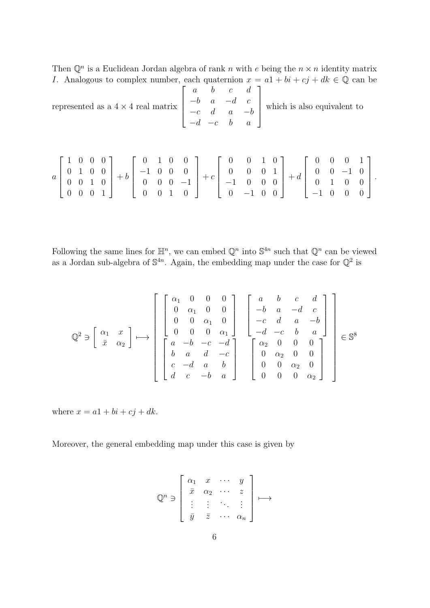Then  $\mathbb{Q}^n$  is a Euclidean Jordan algebra of rank *n* with *e* being the  $n \times n$  identity matrix *I*. Analogous to complex number, each quaternion  $x = a_1 + bi + cj + dk \in \mathbb{Q}$  can be

represented as a 4 *×* 4 real matrix  $\sqrt{ }$  $\overline{\phantom{a}}$ *a b c d −b a −d c −c d a −b −d −c b a*  $\overline{1}$  $\overline{\phantom{a}}$ which is also equivalent to

$$
a \begin{bmatrix} 1 & 0 & 0 & 0 \\ 0 & 1 & 0 & 0 \\ 0 & 0 & 1 & 0 \\ 0 & 0 & 0 & 1 \end{bmatrix} + b \begin{bmatrix} 0 & 1 & 0 & 0 \\ -1 & 0 & 0 & 0 \\ 0 & 0 & 0 & -1 \\ 0 & 0 & 1 & 0 \end{bmatrix} + c \begin{bmatrix} 0 & 0 & 1 & 0 \\ 0 & 0 & 0 & 1 \\ -1 & 0 & 0 & 0 \\ 0 & -1 & 0 & 0 \end{bmatrix} + d \begin{bmatrix} 0 & 0 & 0 & 1 \\ 0 & 0 & -1 & 0 \\ 0 & 1 & 0 & 0 \\ -1 & 0 & 0 & 0 \end{bmatrix}.
$$

Following the same lines for  $\mathbb{H}^n$ , we can embed  $\mathbb{Q}^n$  into  $\mathbb{S}^{4n}$  such that  $\mathbb{Q}^n$  can be viewed as a Jordan sub-algebra of  $\mathbb{S}^{4n}$ . Again, the embedding map under the case for  $\mathbb{Q}^2$  is

$$
\mathbb{Q}^{2} \ni \left[\begin{array}{cc} \alpha_{1} & 0 & 0 & 0 \\ 0 & \alpha_{1} & 0 & 0 \\ 0 & 0 & \alpha_{1} & 0 \\ 0 & 0 & 0 & \alpha_{1} \\ 0 & 0 & 0 & \alpha_{1} \\ \end{array}\right] \longrightarrow \left[\begin{array}{cccc} a & b & c & d \\ -b & a & -d & c \\ -c & d & a & -b \\ -d & -c & b & a \\ 0 & \alpha_{2} & 0 & 0 \\ 0 & \alpha_{2} & 0 & 0 \\ 0 & 0 & \alpha_{2} & 0 \\ d & c & -b & a \end{array}\right] \right] \in \mathbb{S}^{8}
$$

where  $x = a1 + bi + cj + dk$ .

Moreover, the general embedding map under this case is given by

$$
\mathbb{Q}^n \ni \left[ \begin{array}{cccc} \alpha_1 & x & \cdots & y \\ \bar{x} & \alpha_2 & \cdots & z \\ \vdots & \vdots & \ddots & \vdots \\ \bar{y} & \bar{z} & \cdots & \alpha_n \end{array} \right] \longmapsto
$$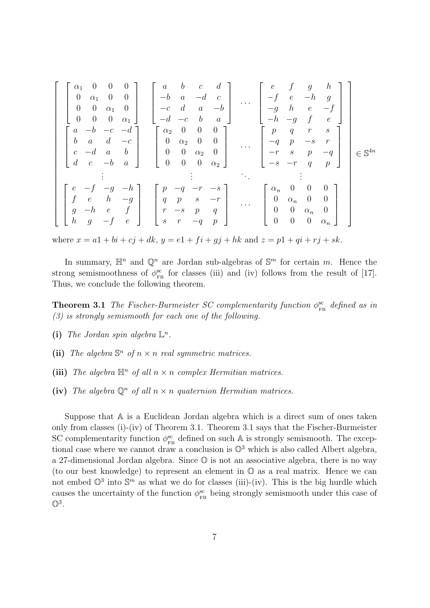| $\overline{0}$<br>$\overline{0}$<br>$\theta$<br>$\alpha_1$<br>$\overline{0}$<br>$0 \quad 0$<br>$\alpha_1$<br>$\theta$<br>$\overline{0}$<br>$\overline{0}$<br>$\alpha_1$<br>$\overline{0}$<br>$0 \quad 0 \quad \alpha_1 \perp$<br>$[a -b -c -d]$<br>$\boldsymbol{b}$<br>$a \quad d$<br>$-c$<br>$-d \quad a$<br>$\mathfrak{b}$<br>$\mathcal{C}$<br>$d \quad c \quad -b$<br>$\overline{a}$ | $\boldsymbol{b}$<br>$\boldsymbol{a}$<br>$\mathcal{C}$<br>$\overline{d}$<br>$-b \quad a$<br>$-d$<br>$\overline{c}$<br>$\cdots$<br>$\overline{d}$<br>$\overline{a}$<br>$-b$<br>$-c$<br>$\bar{b}$<br>$-d$ $-c$<br>$\alpha$<br>$\begin{bmatrix} \alpha_2 & 0 \end{bmatrix}$<br>$\overline{0}$<br>$\vert 0 \vert$<br>$\overline{0}$<br>$\overline{0}$<br>$\overline{0}$<br>$\alpha_2$<br>$\cdots$<br>$0 \quad 0 \quad \alpha_2$<br>$\begin{array}{c c} 0 \end{array}$<br>$\begin{bmatrix} 0 & 0 & 0 & \alpha_2 \end{bmatrix}$ | $\hbar$<br>$f_{\parallel}$<br>$\mathfrak{g}$<br>$\epsilon$<br>$-f$ e $-h$<br>$\mathfrak{g}$<br>h<br>$-f$<br>e<br>$-g$<br>$-h$ $-g$<br>$\int$<br>$\epsilon$<br>p<br>$q_{\parallel}$<br>r<br>$\mathcal{S}_{\mathcal{S}}$<br>p<br>$-s$<br>$-q$<br>$\mathcal{r}$<br>$-r$<br>$\boldsymbol{s}$<br>p<br>$-q$<br>$-s$ $-r$<br>q<br>p | $\in \mathbb{S}^{4n}$ |
|-----------------------------------------------------------------------------------------------------------------------------------------------------------------------------------------------------------------------------------------------------------------------------------------------------------------------------------------------------------------------------------------|--------------------------------------------------------------------------------------------------------------------------------------------------------------------------------------------------------------------------------------------------------------------------------------------------------------------------------------------------------------------------------------------------------------------------------------------------------------------------------------------------------------------------|------------------------------------------------------------------------------------------------------------------------------------------------------------------------------------------------------------------------------------------------------------------------------------------------------------------------------|-----------------------|
| $e$ $-f$ $-g$ $-h$<br>$e-h$<br>$-g$<br>f<br>$g-h$<br>e<br>$\hbar$<br>$-f$<br>g<br>$\boldsymbol{e}$                                                                                                                                                                                                                                                                                      | $\begin{vmatrix} p & -q & -r & -s \end{vmatrix}$<br>$p$ s<br>$-r$<br>q<br>.<br>$\begin{array}{ c c c c c } \hline r&-s \end{array}$<br>p<br>$q_{\parallel}$<br>$-q$<br>r<br>S<br>$\boldsymbol{p}$                                                                                                                                                                                                                                                                                                                        | $\alpha_n$ 0<br>$\overline{0}$<br>$\theta$<br>$\overline{0}$<br>$\overline{0}$<br>$\alpha_n$<br>$\overline{0}$<br>$\overline{0}$<br>$\overline{0}$<br>$\overline{0}$<br>$\alpha_n$<br>$\theta$<br>$\overline{0}$<br>$\begin{matrix}0\end{matrix}$<br>$\alpha_n$                                                              |                       |

where  $x = a_1 + bi + cj + dk$ ,  $y = e_1 + fi + gj + hk$  and  $z = p_1 + qi + rj + sk$ .

In summary,  $\mathbb{H}^n$  and  $\mathbb{Q}^n$  are Jordan sub-algebras of  $\mathbb{S}^m$  for certain *m*. Hence the strong semismoothness of  $\phi_{\text{rel}}^{\text{sc}}$  $_{\text{FB}}^{\text{sc}}$  for classes (iii) and (iv) follows from the result of [17]. Thus, we conclude the following theorem.

**Theorem 3.1** *The Fischer-Burmeister SC complementarity function*  $\phi_{\text{eq}}^{\text{sc}}$ FB *defined as in (3) is strongly semismooth for each one of the following.*

- (i) The Jordan spin algebra  $\mathbb{L}^n$ .
- (ii) The algebra  $\mathbb{S}^n$  of  $n \times n$  real symmetric matrices.
- (iii) *The algebra*  $\mathbb{H}^n$  *of all*  $n \times n$  *complex Hermitian matrices.*
- **(iv)** The algebra  $\mathbb{Q}^n$  of all  $n \times n$  quaternion Hermitian matrices.

Suppose that A is a Euclidean Jordan algebra which is a direct sum of ones taken only from classes (i)-(iv) of Theorem 3.1. Theorem 3.1 says that the Fischer-Burmeister SC complementarity function  $\phi_{\text{eq}}^{\text{sc}}$  $_{\text{FB}}^{\text{sc}}$  defined on such A is strongly semismooth. The exceptional case where we cannot draw a conclusion is  $\mathbb{O}^3$  which is also called Albert algebra, a 27-dimensional Jordan algebra. Since O is not an associative algebra, there is no way (to our best knowledge) to represent an element in O as a real matrix. Hence we can not embed  $\mathbb{O}^3$  into  $\mathbb{S}^m$  as what we do for classes (iii)-(iv). This is the big hurdle which causes the uncertainty of the function  $\phi_{\text{eq}}^{\text{sc}}$  $_{\text{FB}}^{\text{sc}}$  being strongly semismooth under this case of  $\mathbb{O}^3$ .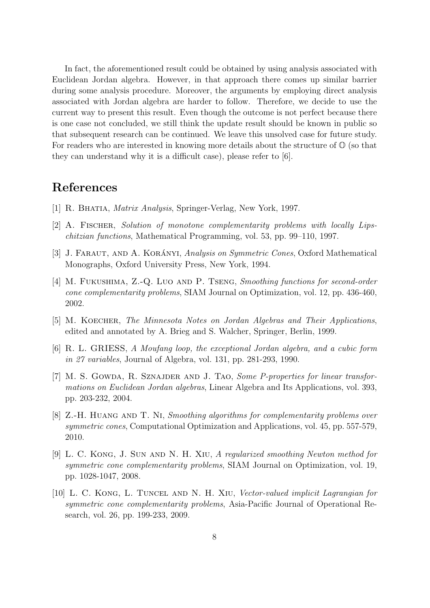In fact, the aforementioned result could be obtained by using analysis associated with Euclidean Jordan algebra. However, in that approach there comes up similar barrier during some analysis procedure. Moreover, the arguments by employing direct analysis associated with Jordan algebra are harder to follow. Therefore, we decide to use the current way to present this result. Even though the outcome is not perfect because there is one case not concluded, we still think the update result should be known in public so that subsequent research can be continued. We leave this unsolved case for future study. For readers who are interested in knowing more details about the structure of  $\mathbb{O}$  (so that they can understand why it is a difficult case), please refer to [6].

# **References**

- [1] R. Bhatia, *Matrix Analysis*, Springer-Verlag, New York, 1997.
- [2] A. FISCHER, *Solution of monotone complementarity problems with locally Lipschitzian functions*, Mathematical Programming, vol. 53, pp. 99–110, 1997.
- [3] J. FARAUT, AND A. KORÁNYI, *Analysis on Symmetric Cones*, Oxford Mathematical Monographs, Oxford University Press, New York, 1994.
- [4] M. Fukushima, Z.-Q. Luo and P. Tseng, *Smoothing functions for second-order cone complementarity problems*, SIAM Journal on Optimization, vol. 12, pp. 436-460, 2002.
- [5] M. Koecher, *The Minnesota Notes on Jordan Algebras and Their Applications*, edited and annotated by A. Brieg and S. Walcher, Springer, Berlin, 1999.
- [6] R. L. GRIESS, *A Moufang loop, the exceptional Jordan algebra, and a cubic form in 27 variables*, Journal of Algebra, vol. 131, pp. 281-293, 1990.
- [7] M. S. Gowda, R. Sznajder and J. Tao, *Some P-properties for linear transformations on Euclidean Jordan algebras*, Linear Algebra and Its Applications, vol. 393, pp. 203-232, 2004.
- [8] Z.-H. Huang and T. Ni, *Smoothing algorithms for complementarity problems over symmetric cones*, Computational Optimization and Applications, vol. 45, pp. 557-579, 2010.
- [9] L. C. Kong, J. Sun and N. H. Xiu, *A regularized smoothing Newton method for symmetric cone complementarity problems*, SIAM Journal on Optimization, vol. 19, pp. 1028-1047, 2008.
- [10] L. C. Kong, L. Tuncel and N. H. Xiu, *Vector-valued implicit Lagrangian for symmetric cone complementarity problems*, Asia-Pacific Journal of Operational Research, vol. 26, pp. 199-233, 2009.